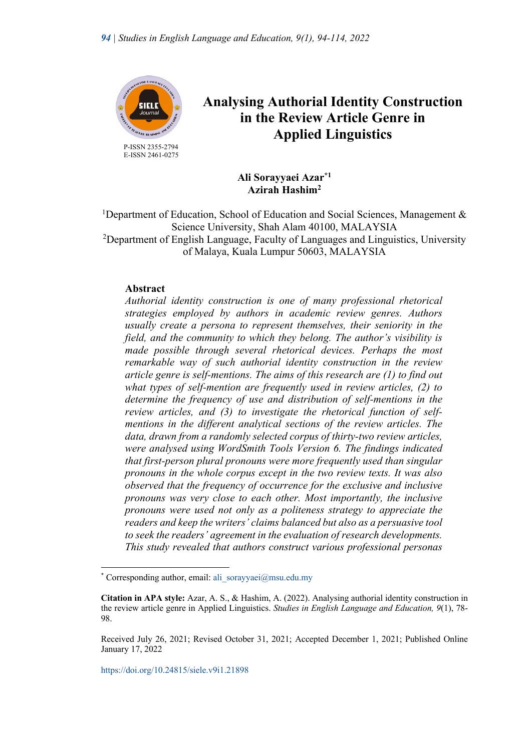

 P-ISSN 2355-2794 E-ISSN 2461-0275

# **Analysing Authorial Identity Construction in the Review Article Genre in Applied Linguistics**

**Ali Sorayyaei Azar\*1 Azirah Hashim2**

<sup>1</sup>Department of Education, School of Education and Social Sciences, Management & Science University, Shah Alam 40100, MALAYSIA <sup>2</sup>Department of English Language, Faculty of Languages and Linguistics, University of Malaya, Kuala Lumpur 50603, MALAYSIA

## **Abstract**

*Authorial identity construction is one of many professional rhetorical strategies employed by authors in academic review genres. Authors usually create a persona to represent themselves, their seniority in the field, and the community to which they belong. The author's visibility is made possible through several rhetorical devices. Perhaps the most remarkable way of such authorial identity construction in the review article genre is self-mentions. The aims of this research are (1) to find out what types of self-mention are frequently used in review articles, (2) to determine the frequency of use and distribution of self-mentions in the review articles, and (3) to investigate the rhetorical function of selfmentions in the different analytical sections of the review articles. The data, drawn from a randomly selected corpus of thirty-two review articles, were analysed using WordSmith Tools Version 6. The findings indicated that first-person plural pronouns were more frequently used than singular pronouns in the whole corpus except in the two review texts. It was also observed that the frequency of occurrence for the exclusive and inclusive pronouns was very close to each other. Most importantly, the inclusive pronouns were used not only as a politeness strategy to appreciate the readers and keep the writers' claims balanced but also as a persuasive tool to seek the readers' agreement in the evaluation of research developments. This study revealed that authors construct various professional personas* 

<sup>\*</sup> Corresponding author, email: ali\_sorayyaei@msu.edu.my

**Citation in APA style:** Azar, A. S., & Hashim, A. (2022). Analysing authorial identity construction in the review article genre in Applied Linguistics. *Studies in English Language and Education, 9*(1), 78- 98.

Received July 26, 2021; Revised October 31, 2021; Accepted December 1, 2021; Published Online January 17, 2022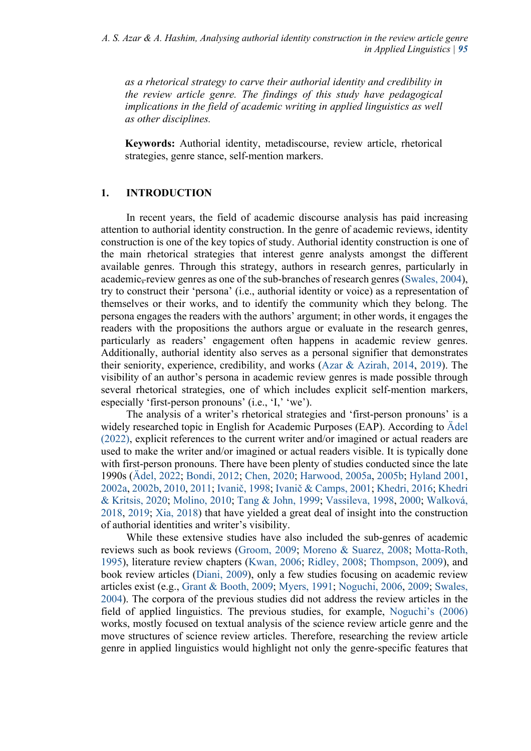*as a rhetorical strategy to carve their authorial identity and credibility in the review article genre. The findings of this study have pedagogical implications in the field of academic writing in applied linguistics as well as other disciplines.* 

**Keywords:** Authorial identity, metadiscourse, review article, rhetorical strategies, genre stance, self-mention markers.

# **1. INTRODUCTION**

In recent years, the field of academic discourse analysis has paid increasing attention to authorial identity construction. In the genre of academic reviews, identity construction is one of the key topics of study. Authorial identity construction is one of the main rhetorical strategies that interest genre analysts amongst the different available genres. Through this strategy, authors in research genres, particularly in academic, review genres as one of the sub-branches of research genres (Swales, 2004), try to construct their 'persona' (i.e., authorial identity or voice) as a representation of themselves or their works, and to identify the community which they belong. The persona engages the readers with the authors' argument; in other words, it engages the readers with the propositions the authors argue or evaluate in the research genres, particularly as readers' engagement often happens in academic review genres. Additionally, authorial identity also serves as a personal signifier that demonstrates their seniority, experience, credibility, and works (Azar & Azirah, 2014, 2019). The visibility of an author's persona in academic review genres is made possible through several rhetorical strategies, one of which includes explicit self-mention markers, especially 'first-person pronouns' (i.e., 'I,' 'we').

 The analysis of a writer's rhetorical strategies and 'first-person pronouns' is a widely researched topic in English for Academic Purposes (EAP). According to Ädel (2022), explicit references to the current writer and/or imagined or actual readers are used to make the writer and/or imagined or actual readers visible. It is typically done with first-person pronouns. There have been plenty of studies conducted since the late 1990s (Ädel, 2022; Bondi, 2012; Chen, 2020; Harwood, 2005a, 2005b; Hyland 2001, 2002a, 2002b, 2010, 2011; Ivanič, 1998; Ivanič & Camps, 2001; Khedri, 2016; Khedri & Kritsis, 2020; Molino, 2010; Tang & John, 1999; Vassileva, 1998, 2000; Walková, 2018, 2019; Xia, 2018) that have yielded a great deal of insight into the construction of authorial identities and writer's visibility.

 While these extensive studies have also included the sub-genres of academic reviews such as book reviews (Groom, 2009; Moreno & Suarez, 2008; Motta-Roth, 1995), literature review chapters (Kwan, 2006; Ridley, 2008; Thompson, 2009), and book review articles (Diani, 2009), only a few studies focusing on academic review articles exist (e.g., Grant & Booth, 2009; Myers, 1991; Noguchi, 2006, 2009; Swales, 2004). The corpora of the previous studies did not address the review articles in the field of applied linguistics. The previous studies, for example, Noguchi's (2006) works, mostly focused on textual analysis of the science review article genre and the move structures of science review articles. Therefore, researching the review article genre in applied linguistics would highlight not only the genre-specific features that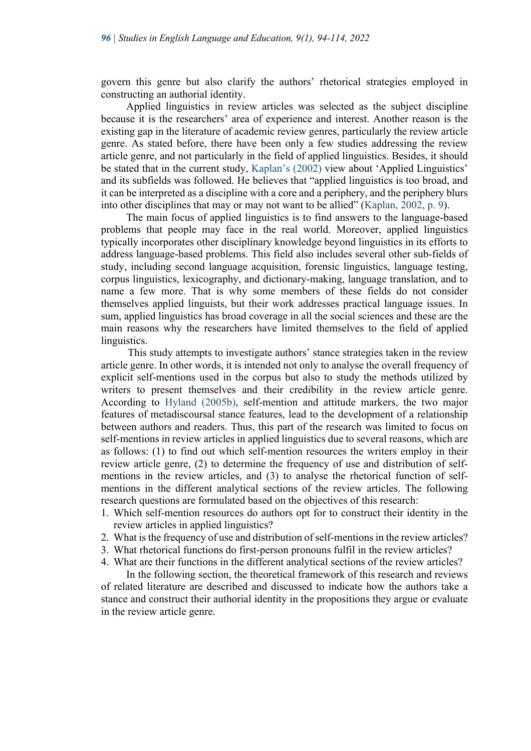govern this genre but also clarify the authors' rhetorical strategies employed in constructing an authorial identity.

Applied linguistics in review articles was selected as the subject discipline because it is the researchers' area of experience and interest. Another reason is the existing gap in the literature of academic review genres, particularly the review article genre. As stated before, there have been only a few studies addressing the review article genre, and not particularly in the field of applied linguistics. Besides, it should be stated that in the current study, Kaplan's (2002) view about 'Applied Linguistics' and its subfields was followed. He believes that "applied linguistics is too broad, and it can be interpreted as a discipline with a core and a periphery, and the periphery blurs into other disciplines that may or may not want to be allied" (Kaplan, 2002, p. 9).

The main focus of applied linguistics is to find answers to the language-based problems that people may face in the real world. Moreover, applied linguistics typically incorporates other disciplinary knowledge beyond linguistics in its efforts to address language-based problems. This field also includes several other sub-fields of study, including second language acquisition, forensic linguistics, language testing, corpus linguistics, lexicography, and dictionary-making, language translation, and to name a few more. That is why some members of these fields do not consider themselves applied linguists, but their work addresses practical language issues. In sum, applied linguistics has broad coverage in all the social sciences and these are the main reasons why the researchers have limited themselves to the field of applied linguistics.

 This study attempts to investigate authors' stance strategies taken in the review article genre. In other words, it is intended not only to analyse the overall frequency of explicit self-mentions used in the corpus but also to study the methods utilized by writers to present themselves and their credibility in the review article genre. According to Hyland (2005b), self-mention and attitude markers, the two major features of metadiscoursal stance features, lead to the development of a relationship between authors and readers. Thus, this part of the research was limited to focus on self-mentions in review articles in applied linguistics due to several reasons, which are as follows: (1) to find out which self-mention resources the writers employ in their review article genre, (2) to determine the frequency of use and distribution of selfmentions in the review articles, and (3) to analyse the rhetorical function of selfmentions in the different analytical sections of the review articles. The following research questions are formulated based on the objectives of this research:

- 1. Which self-mention resources do authors opt for to construct their identity in the review articles in applied linguistics?
- 2. What is the frequency of use and distribution of self-mentions in the review articles?
- 3. What rhetorical functions do first-person pronouns fulfil in the review articles?
- 4. What are their functions in the different analytical sections of the review articles?

 In the following section, the theoretical framework of this research and reviews of related literature are described and discussed to indicate how the authors take a stance and construct their authorial identity in the propositions they argue or evaluate in the review article genre.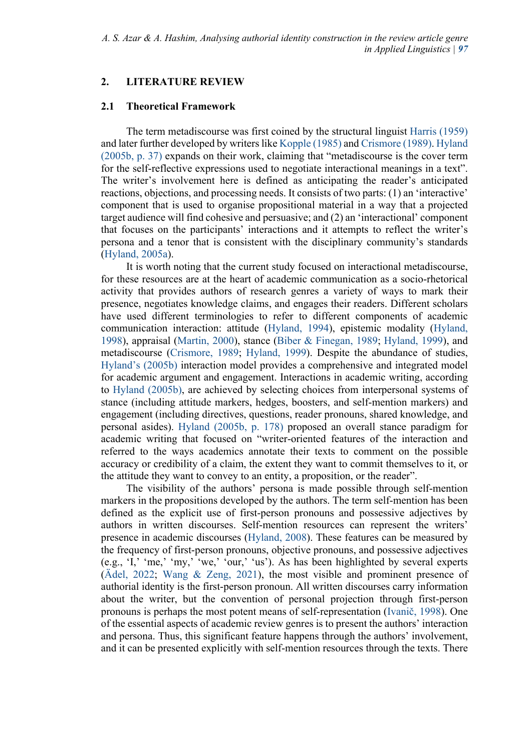# **2. LITERATURE REVIEW**

#### **2.1 Theoretical Framework**

The term metadiscourse was first coined by the structural linguist Harris (1959) and later further developed by writers like Kopple (1985) and Crismore (1989). Hyland (2005b, p. 37) expands on their work, claiming that "metadiscourse is the cover term for the self-reflective expressions used to negotiate interactional meanings in a text". The writer's involvement here is defined as anticipating the reader's anticipated reactions, objections, and processing needs. It consists of two parts: (1) an 'interactive' component that is used to organise propositional material in a way that a projected target audience will find cohesive and persuasive; and (2) an 'interactional' component that focuses on the participants' interactions and it attempts to reflect the writer's persona and a tenor that is consistent with the disciplinary community's standards (Hyland, 2005a).

It is worth noting that the current study focused on interactional metadiscourse, for these resources are at the heart of academic communication as a socio-rhetorical activity that provides authors of research genres a variety of ways to mark their presence, negotiates knowledge claims, and engages their readers. Different scholars have used different terminologies to refer to different components of academic communication interaction: attitude (Hyland, 1994), epistemic modality (Hyland, 1998), appraisal (Martin, 2000), stance (Biber & Finegan, 1989; Hyland, 1999), and metadiscourse (Crismore, 1989; Hyland, 1999). Despite the abundance of studies, Hyland's (2005b) interaction model provides a comprehensive and integrated model for academic argument and engagement. Interactions in academic writing, according to Hyland (2005b), are achieved by selecting choices from interpersonal systems of stance (including attitude markers, hedges, boosters, and self-mention markers) and engagement (including directives, questions, reader pronouns, shared knowledge, and personal asides). Hyland (2005b, p. 178) proposed an overall stance paradigm for academic writing that focused on "writer-oriented features of the interaction and referred to the ways academics annotate their texts to comment on the possible accuracy or credibility of a claim, the extent they want to commit themselves to it, or the attitude they want to convey to an entity, a proposition, or the reader".

The visibility of the authors' persona is made possible through self-mention markers in the propositions developed by the authors. The term self-mention has been defined as the explicit use of first-person pronouns and possessive adjectives by authors in written discourses. Self-mention resources can represent the writers' presence in academic discourses (Hyland, 2008). These features can be measured by the frequency of first-person pronouns, objective pronouns, and possessive adjectives (e.g., 'I,' 'me,' 'my,' 'we,' 'our,' 'us'). As has been highlighted by several experts (Ädel, 2022; Wang & Zeng, 2021), the most visible and prominent presence of authorial identity is the first-person pronoun. All written discourses carry information about the writer, but the convention of personal projection through first-person pronouns is perhaps the most potent means of self-representation (Ivanič, 1998). One of the essential aspects of academic review genres is to present the authors' interaction and persona. Thus, this significant feature happens through the authors' involvement, and it can be presented explicitly with self-mention resources through the texts. There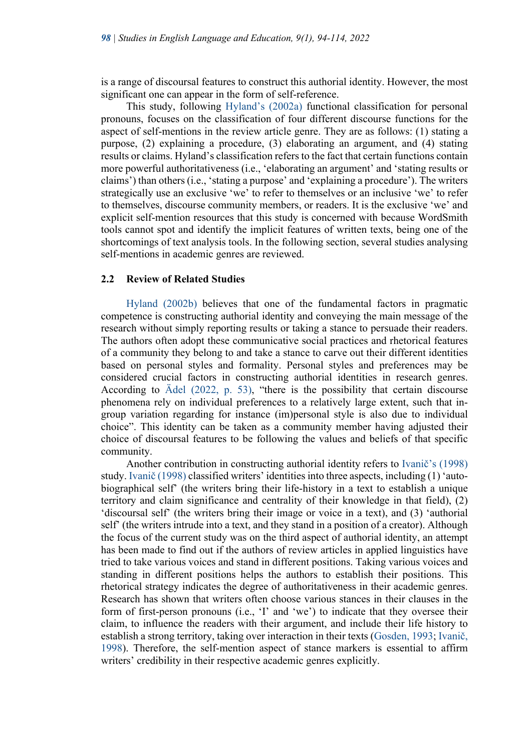is a range of discoursal features to construct this authorial identity. However, the most significant one can appear in the form of self-reference.

This study, following Hyland's (2002a) functional classification for personal pronouns, focuses on the classification of four different discourse functions for the aspect of self-mentions in the review article genre. They are as follows: (1) stating a purpose, (2) explaining a procedure, (3) elaborating an argument, and (4) stating results or claims. Hyland's classification refers to the fact that certain functions contain more powerful authoritativeness (i.e., 'elaborating an argument' and 'stating results or claims') than others (i.e., 'stating a purpose' and 'explaining a procedure'). The writers strategically use an exclusive 'we' to refer to themselves or an inclusive 'we' to refer to themselves, discourse community members, or readers. It is the exclusive 'we' and explicit self-mention resources that this study is concerned with because WordSmith tools cannot spot and identify the implicit features of written texts, being one of the shortcomings of text analysis tools. In the following section, several studies analysing self-mentions in academic genres are reviewed.

#### **2.2 Review of Related Studies**

Hyland (2002b) believes that one of the fundamental factors in pragmatic competence is constructing authorial identity and conveying the main message of the research without simply reporting results or taking a stance to persuade their readers. The authors often adopt these communicative social practices and rhetorical features of a community they belong to and take a stance to carve out their different identities based on personal styles and formality. Personal styles and preferences may be considered crucial factors in constructing authorial identities in research genres. According to Ädel (2022, p. 53), "there is the possibility that certain discourse phenomena rely on individual preferences to a relatively large extent, such that ingroup variation regarding for instance (im)personal style is also due to individual choice". This identity can be taken as a community member having adjusted their choice of discoursal features to be following the values and beliefs of that specific community.

Another contribution in constructing authorial identity refers to Ivanič's (1998) study. Ivanič (1998) classified writers' identities into three aspects, including (1) 'autobiographical self' (the writers bring their life-history in a text to establish a unique territory and claim significance and centrality of their knowledge in that field), (2) 'discoursal self' (the writers bring their image or voice in a text), and (3) 'authorial self' (the writers intrude into a text, and they stand in a position of a creator). Although the focus of the current study was on the third aspect of authorial identity, an attempt has been made to find out if the authors of review articles in applied linguistics have tried to take various voices and stand in different positions. Taking various voices and standing in different positions helps the authors to establish their positions. This rhetorical strategy indicates the degree of authoritativeness in their academic genres. Research has shown that writers often choose various stances in their clauses in the form of first-person pronouns (i.e., 'I' and 'we') to indicate that they oversee their claim, to influence the readers with their argument, and include their life history to establish a strong territory, taking over interaction in their texts (Gosden, 1993; Ivanič, 1998). Therefore, the self-mention aspect of stance markers is essential to affirm writers' credibility in their respective academic genres explicitly.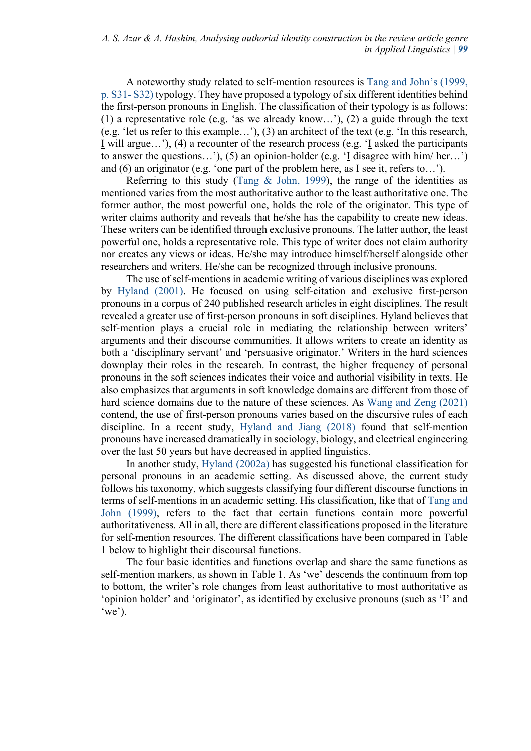A noteworthy study related to self-mention resources is Tang and John's (1999, p. S31- S32) typology. They have proposed a typology of six different identities behind the first-person pronouns in English. The classification of their typology is as follows: (1) a representative role (e.g. 'as we already know…'), (2) a guide through the text (e.g. 'let us refer to this example…'), (3) an architect of the text (e.g. 'In this research, I will argue…'), (4) a recounter of the research process (e.g. 'I asked the participants to answer the questions...'), (5) an opinion-holder (e.g.  $\overline{I}$  disagree with him/ her...') and (6) an originator (e.g. 'one part of the problem here, as  $I$  see it, refers to...').

Referring to this study (Tang & John, 1999), the range of the identities as mentioned varies from the most authoritative author to the least authoritative one. The former author, the most powerful one, holds the role of the originator. This type of writer claims authority and reveals that he/she has the capability to create new ideas. These writers can be identified through exclusive pronouns. The latter author, the least powerful one, holds a representative role. This type of writer does not claim authority nor creates any views or ideas. He/she may introduce himself/herself alongside other researchers and writers. He/she can be recognized through inclusive pronouns.

The use of self-mentions in academic writing of various disciplines was explored by Hyland (2001). He focused on using self-citation and exclusive first-person pronouns in a corpus of 240 published research articles in eight disciplines. The result revealed a greater use of first-person pronouns in soft disciplines. Hyland believes that self-mention plays a crucial role in mediating the relationship between writers' arguments and their discourse communities. It allows writers to create an identity as both a 'disciplinary servant' and 'persuasive originator.' Writers in the hard sciences downplay their roles in the research. In contrast, the higher frequency of personal pronouns in the soft sciences indicates their voice and authorial visibility in texts. He also emphasizes that arguments in soft knowledge domains are different from those of hard science domains due to the nature of these sciences. As Wang and Zeng (2021) contend, the use of first-person pronouns varies based on the discursive rules of each discipline. In a recent study, Hyland and Jiang (2018) found that self-mention pronouns have increased dramatically in sociology, biology, and electrical engineering over the last 50 years but have decreased in applied linguistics.

In another study, Hyland (2002a) has suggested his functional classification for personal pronouns in an academic setting. As discussed above, the current study follows his taxonomy, which suggests classifying four different discourse functions in terms of self-mentions in an academic setting. His classification, like that of Tang and John (1999), refers to the fact that certain functions contain more powerful authoritativeness. All in all, there are different classifications proposed in the literature for self-mention resources. The different classifications have been compared in Table 1 below to highlight their discoursal functions.

The four basic identities and functions overlap and share the same functions as self-mention markers, as shown in Table 1. As 'we' descends the continuum from top to bottom, the writer's role changes from least authoritative to most authoritative as 'opinion holder' and 'originator', as identified by exclusive pronouns (such as 'I' and  $(we')$ .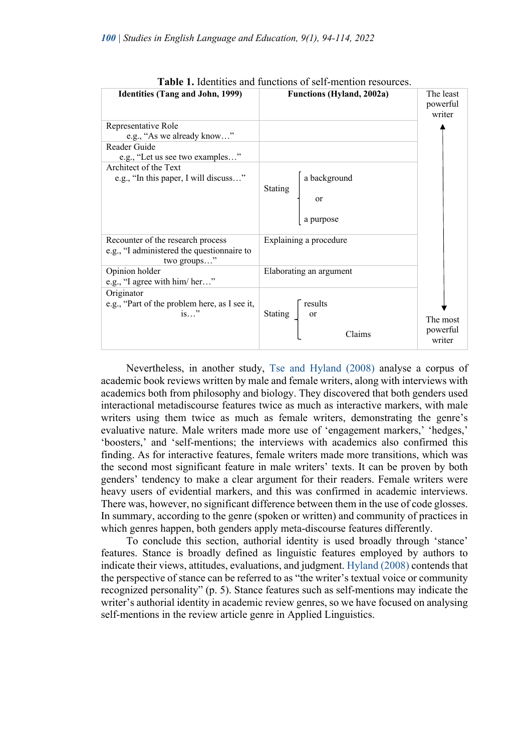

**Table 1.** Identities and functions of self-mention resources.

Nevertheless, in another study, Tse and Hyland (2008) analyse a corpus of academic book reviews written by male and female writers, along with interviews with academics both from philosophy and biology. They discovered that both genders used interactional metadiscourse features twice as much as interactive markers, with male writers using them twice as much as female writers, demonstrating the genre's evaluative nature. Male writers made more use of 'engagement markers,' 'hedges,' 'boosters,' and 'self-mentions; the interviews with academics also confirmed this finding. As for interactive features, female writers made more transitions, which was the second most significant feature in male writers' texts. It can be proven by both genders' tendency to make a clear argument for their readers. Female writers were heavy users of evidential markers, and this was confirmed in academic interviews. There was, however, no significant difference between them in the use of code glosses. In summary, according to the genre (spoken or written) and community of practices in which genres happen, both genders apply meta-discourse features differently.

To conclude this section, authorial identity is used broadly through 'stance' features. Stance is broadly defined as linguistic features employed by authors to indicate their views, attitudes, evaluations, and judgment. Hyland (2008) contends that the perspective of stance can be referred to as "the writer's textual voice or community recognized personality" (p. 5). Stance features such as self-mentions may indicate the writer's authorial identity in academic review genres, so we have focused on analysing self-mentions in the review article genre in Applied Linguistics.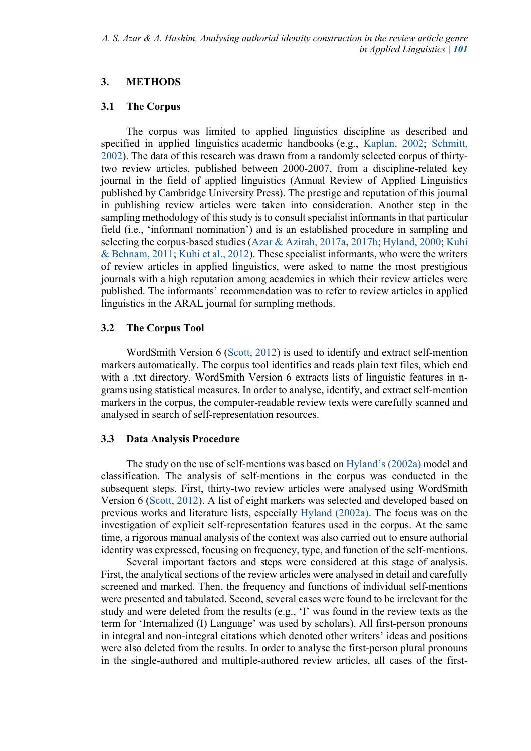# **3. METHODS**

## **3.1 The Corpus**

The corpus was limited to applied linguistics discipline as described and specified in applied linguistics academic handbooks (e.g., Kaplan, 2002; Schmitt, 2002). The data of this research was drawn from a randomly selected corpus of thirtytwo review articles, published between 2000-2007, from a discipline-related key journal in the field of applied linguistics (Annual Review of Applied Linguistics published by Cambridge University Press). The prestige and reputation of this journal in publishing review articles were taken into consideration. Another step in the sampling methodology of this study is to consult specialist informants in that particular field (i.e., 'informant nomination') and is an established procedure in sampling and selecting the corpus-based studies (Azar & Azirah, 2017a, 2017b; Hyland, 2000; Kuhi & Behnam, 2011; Kuhi et al., 2012). These specialist informants, who were the writers of review articles in applied linguistics, were asked to name the most prestigious journals with a high reputation among academics in which their review articles were published. The informants' recommendation was to refer to review articles in applied linguistics in the ARAL journal for sampling methods.

## **3.2 The Corpus Tool**

WordSmith Version 6 (Scott, 2012) is used to identify and extract self-mention markers automatically. The corpus tool identifies and reads plain text files, which end with a .txt directory. WordSmith Version 6 extracts lists of linguistic features in ngrams using statistical measures. In order to analyse, identify, and extract self-mention markers in the corpus, the computer-readable review texts were carefully scanned and analysed in search of self-representation resources.

## **3.3 Data Analysis Procedure**

The study on the use of self-mentions was based on Hyland's (2002a) model and classification. The analysis of self-mentions in the corpus was conducted in the subsequent steps. First, thirty-two review articles were analysed using WordSmith Version 6 (Scott, 2012). A list of eight markers was selected and developed based on previous works and literature lists, especially Hyland (2002a). The focus was on the investigation of explicit self-representation features used in the corpus. At the same time, a rigorous manual analysis of the context was also carried out to ensure authorial identity was expressed, focusing on frequency, type, and function of the self-mentions.

 Several important factors and steps were considered at this stage of analysis. First, the analytical sections of the review articles were analysed in detail and carefully screened and marked. Then, the frequency and functions of individual self-mentions were presented and tabulated. Second, several cases were found to be irrelevant for the study and were deleted from the results (e.g., 'I' was found in the review texts as the term for 'Internalized (I) Language' was used by scholars). All first-person pronouns in integral and non-integral citations which denoted other writers' ideas and positions were also deleted from the results. In order to analyse the first-person plural pronouns in the single-authored and multiple-authored review articles, all cases of the first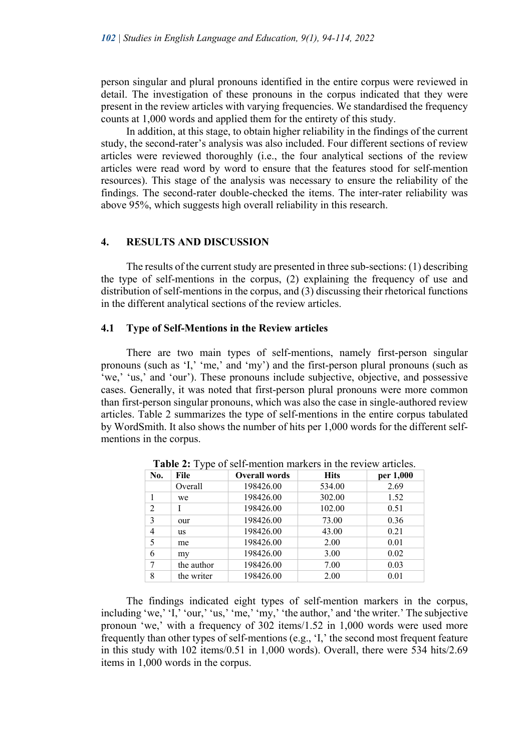person singular and plural pronouns identified in the entire corpus were reviewed in detail. The investigation of these pronouns in the corpus indicated that they were present in the review articles with varying frequencies. We standardised the frequency counts at 1,000 words and applied them for the entirety of this study.

 In addition, at this stage, to obtain higher reliability in the findings of the current study, the second-rater's analysis was also included. Four different sections of review articles were reviewed thoroughly (i.e., the four analytical sections of the review articles were read word by word to ensure that the features stood for self-mention resources). This stage of the analysis was necessary to ensure the reliability of the findings. The second-rater double-checked the items. The inter-rater reliability was above 95%, which suggests high overall reliability in this research.

#### **4. RESULTS AND DISCUSSION**

The results of the current study are presented in three sub-sections: (1) describing the type of self-mentions in the corpus, (2) explaining the frequency of use and distribution of self-mentions in the corpus, and (3) discussing their rhetorical functions in the different analytical sections of the review articles.

#### **4.1 Type of Self-Mentions in the Review articles**

There are two main types of self-mentions, namely first-person singular pronouns (such as 'I,' 'me,' and 'my') and the first-person plural pronouns (such as 'we,' 'us,' and 'our'). These pronouns include subjective, objective, and possessive cases. Generally, it was noted that first-person plural pronouns were more common than first-person singular pronouns, which was also the case in single-authored review articles. Table 2 summarizes the type of self-mentions in the entire corpus tabulated by WordSmith. It also shows the number of hits per 1,000 words for the different selfmentions in the corpus.

| No.            | File       | <b>Overall words</b> | <b>Hits</b> | per 1,000 |  |
|----------------|------------|----------------------|-------------|-----------|--|
|                | Overall    | 198426.00            | 534.00      | 2.69      |  |
|                | we         | 198426.00            | 302.00      | 1.52      |  |
| $\overline{c}$ |            | 198426.00            | 102.00      | 0.51      |  |
| 3              | our        | 198426.00            | 73.00       | 0.36      |  |
| 4              | <b>us</b>  | 198426.00            | 43.00       | 0.21      |  |
| 5              | me         | 198426.00            | 2.00        | 0.01      |  |
| 6              | my         | 198426.00            | 3.00        | 0.02      |  |
|                | the author | 198426.00            | 7.00        | 0.03      |  |
| 8              | the writer | 198426.00            | 2.00        | 0.01      |  |

**Table 2:** Type of self-mention markers in the review articles.

The findings indicated eight types of self-mention markers in the corpus, including 'we,' 'I,' 'our,' 'us,' 'me,' 'my,' 'the author,' and 'the writer.' The subjective pronoun 'we,' with a frequency of 302 items/1.52 in 1,000 words were used more frequently than other types of self-mentions (e.g., 'I,' the second most frequent feature in this study with 102 items/0.51 in 1,000 words). Overall, there were 534 hits/2.69 items in 1,000 words in the corpus.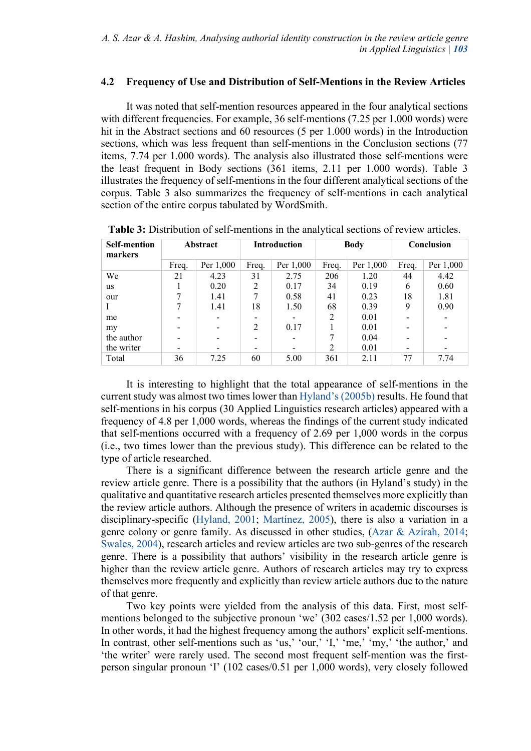## **4.2 Frequency of Use and Distribution of Self-Mentions in the Review Articles**

It was noted that self-mention resources appeared in the four analytical sections with different frequencies. For example, 36 self-mentions (7.25 per 1.000 words) were hit in the Abstract sections and 60 resources (5 per 1.000 words) in the Introduction sections, which was less frequent than self-mentions in the Conclusion sections (77 items, 7.74 per 1.000 words). The analysis also illustrated those self-mentions were the least frequent in Body sections (361 items, 2.11 per 1.000 words). Table 3 illustrates the frequency of self-mentions in the four different analytical sections of the corpus. Table 3 also summarizes the frequency of self-mentions in each analytical section of the entire corpus tabulated by WordSmith.

| <b>Self-mention</b><br>markers | Abstract |           | <b>Introduction</b> |           | <b>Body</b>   |           | Conclusion |           |
|--------------------------------|----------|-----------|---------------------|-----------|---------------|-----------|------------|-----------|
|                                | Freq.    | Per 1,000 | Freq.               | Per 1,000 | Freq.         | Per 1,000 | Freq.      | Per 1,000 |
| We                             | 21       | 4.23      | 31                  | 2.75      | 206           | 1.20      | 44         | 4.42      |
| <b>us</b>                      |          | 0.20      | 2                   | 0.17      | 34            | 0.19      | 6          | 0.60      |
| our                            |          | 1.41      |                     | 0.58      | 41            | 0.23      | 18         | 1.81      |
|                                |          | 1.41      | 18                  | 1.50      | 68            | 0.39      | 9          | 0.90      |
| me                             |          |           |                     |           |               | 0.01      |            |           |
| my                             |          |           | 2                   | 0.17      |               | 0.01      | -          |           |
| the author                     |          |           |                     |           |               | 0.04      |            |           |
| the writer                     |          |           |                     |           | $\mathcal{L}$ | 0.01      | -          |           |
| Total                          | 36       | 7.25      | 60                  | 5.00      | 361           | 2.11      | 77         | 7.74      |

**Table 3:** Distribution of self-mentions in the analytical sections of review articles.

It is interesting to highlight that the total appearance of self-mentions in the current study was almost two times lower than Hyland's (2005b) results. He found that self-mentions in his corpus (30 Applied Linguistics research articles) appeared with a frequency of 4.8 per 1,000 words, whereas the findings of the current study indicated that self-mentions occurred with a frequency of 2.69 per 1,000 words in the corpus (i.e., two times lower than the previous study). This difference can be related to the type of article researched.

There is a significant difference between the research article genre and the review article genre. There is a possibility that the authors (in Hyland's study) in the qualitative and quantitative research articles presented themselves more explicitly than the review article authors. Although the presence of writers in academic discourses is disciplinary-specific (Hyland, 2001; Martínez, 2005), there is also a variation in a genre colony or genre family. As discussed in other studies, (Azar & Azirah, 2014; Swales, 2004), research articles and review articles are two sub-genres of the research genre. There is a possibility that authors' visibility in the research article genre is higher than the review article genre. Authors of research articles may try to express themselves more frequently and explicitly than review article authors due to the nature of that genre.

Two key points were yielded from the analysis of this data. First, most selfmentions belonged to the subjective pronoun 'we' (302 cases/1.52 per 1,000 words). In other words, it had the highest frequency among the authors' explicit self-mentions. In contrast, other self-mentions such as 'us,' 'our,' 'I,' 'me,' 'my,' 'the author,' and 'the writer' were rarely used. The second most frequent self-mention was the firstperson singular pronoun 'I' (102 cases/0.51 per 1,000 words), very closely followed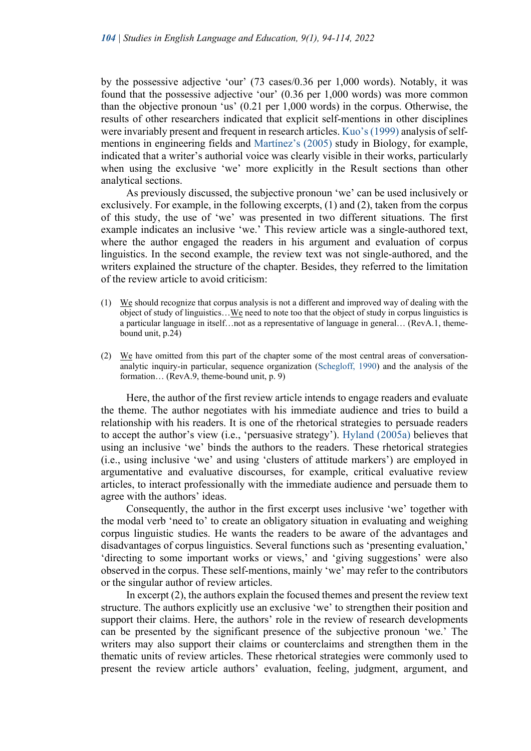by the possessive adjective 'our' (73 cases/0.36 per 1,000 words). Notably, it was found that the possessive adjective 'our' (0.36 per 1,000 words) was more common than the objective pronoun 'us' (0.21 per 1,000 words) in the corpus. Otherwise, the results of other researchers indicated that explicit self-mentions in other disciplines were invariably present and frequent in research articles. Kuo's (1999) analysis of selfmentions in engineering fields and Martínez's (2005) study in Biology, for example, indicated that a writer's authorial voice was clearly visible in their works, particularly when using the exclusive 'we' more explicitly in the Result sections than other analytical sections.

As previously discussed, the subjective pronoun 'we' can be used inclusively or exclusively. For example, in the following excerpts, (1) and (2), taken from the corpus of this study, the use of 'we' was presented in two different situations. The first example indicates an inclusive 'we.' This review article was a single-authored text, where the author engaged the readers in his argument and evaluation of corpus linguistics. In the second example, the review text was not single-authored, and the writers explained the structure of the chapter. Besides, they referred to the limitation of the review article to avoid criticism:

- (1) We should recognize that corpus analysis is not a different and improved way of dealing with the object of study of linguistics…We need to note too that the object of study in corpus linguistics is a particular language in itself…not as a representative of language in general… (RevA.1, themebound unit, p.24)
- (2) We have omitted from this part of the chapter some of the most central areas of conversationanalytic inquiry-in particular, sequence organization (Schegloff, 1990) and the analysis of the formation... (RevA.9, theme-bound unit, p. 9)

Here, the author of the first review article intends to engage readers and evaluate the theme. The author negotiates with his immediate audience and tries to build a relationship with his readers. It is one of the rhetorical strategies to persuade readers to accept the author's view (i.e., 'persuasive strategy'). Hyland (2005a) believes that using an inclusive 'we' binds the authors to the readers. These rhetorical strategies (i.e., using inclusive 'we' and using 'clusters of attitude markers') are employed in argumentative and evaluative discourses, for example, critical evaluative review articles, to interact professionally with the immediate audience and persuade them to agree with the authors' ideas.

Consequently, the author in the first excerpt uses inclusive 'we' together with the modal verb 'need to' to create an obligatory situation in evaluating and weighing corpus linguistic studies. He wants the readers to be aware of the advantages and disadvantages of corpus linguistics. Several functions such as 'presenting evaluation,' 'directing to some important works or views,' and 'giving suggestions' were also observed in the corpus. These self-mentions, mainly 'we' may refer to the contributors or the singular author of review articles.

In excerpt  $(2)$ , the authors explain the focused themes and present the review text structure. The authors explicitly use an exclusive 'we' to strengthen their position and support their claims. Here, the authors' role in the review of research developments can be presented by the significant presence of the subjective pronoun 'we.' The writers may also support their claims or counterclaims and strengthen them in the thematic units of review articles. These rhetorical strategies were commonly used to present the review article authors' evaluation, feeling, judgment, argument, and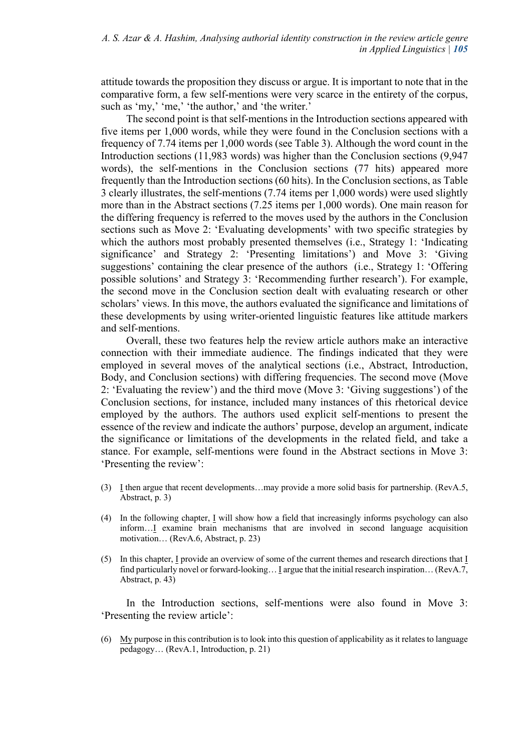attitude towards the proposition they discuss or argue. It is important to note that in the comparative form, a few self-mentions were very scarce in the entirety of the corpus, such as 'my,' 'me,' 'the author,' and 'the writer.'

The second point is that self-mentions in the Introduction sections appeared with five items per 1,000 words, while they were found in the Conclusion sections with a frequency of 7.74 items per 1,000 words (see Table 3). Although the word count in the Introduction sections (11,983 words) was higher than the Conclusion sections (9,947 words), the self-mentions in the Conclusion sections (77 hits) appeared more frequently than the Introduction sections (60 hits). In the Conclusion sections, as Table 3 clearly illustrates, the self-mentions (7.74 items per 1,000 words) were used slightly more than in the Abstract sections (7.25 items per 1,000 words). One main reason for the differing frequency is referred to the moves used by the authors in the Conclusion sections such as Move 2: 'Evaluating developments' with two specific strategies by which the authors most probably presented themselves (i.e., Strategy 1: 'Indicating significance' and Strategy 2: 'Presenting limitations') and Move 3: 'Giving suggestions' containing the clear presence of the authors (i.e., Strategy 1: 'Offering possible solutions' and Strategy 3: 'Recommending further research'). For example, the second move in the Conclusion section dealt with evaluating research or other scholars' views. In this move, the authors evaluated the significance and limitations of these developments by using writer-oriented linguistic features like attitude markers and self-mentions.

Overall, these two features help the review article authors make an interactive connection with their immediate audience. The findings indicated that they were employed in several moves of the analytical sections (i.e., Abstract, Introduction, Body, and Conclusion sections) with differing frequencies. The second move (Move 2: 'Evaluating the review') and the third move (Move 3: 'Giving suggestions') of the Conclusion sections, for instance, included many instances of this rhetorical device employed by the authors. The authors used explicit self-mentions to present the essence of the review and indicate the authors' purpose, develop an argument, indicate the significance or limitations of the developments in the related field, and take a stance. For example, self-mentions were found in the Abstract sections in Move 3: 'Presenting the review':

- (3) I then argue that recent developments…may provide a more solid basis for partnership. (RevA.5, Abstract, p. 3)
- (4) In the following chapter, I will show how a field that increasingly informs psychology can also inform…I examine brain mechanisms that are involved in second language acquisition motivation… (RevA.6, Abstract, p. 23)
- (5) In this chapter, I provide an overview of some of the current themes and research directions that I find particularly novel or forward-looking... I argue that the initial research inspiration... (RevA.7, Abstract, p. 43)

In the Introduction sections, self-mentions were also found in Move 3: 'Presenting the review article':

(6) My purpose in this contribution is to look into this question of applicability as it relates to language pedagogy… (RevA.1, Introduction, p. 21)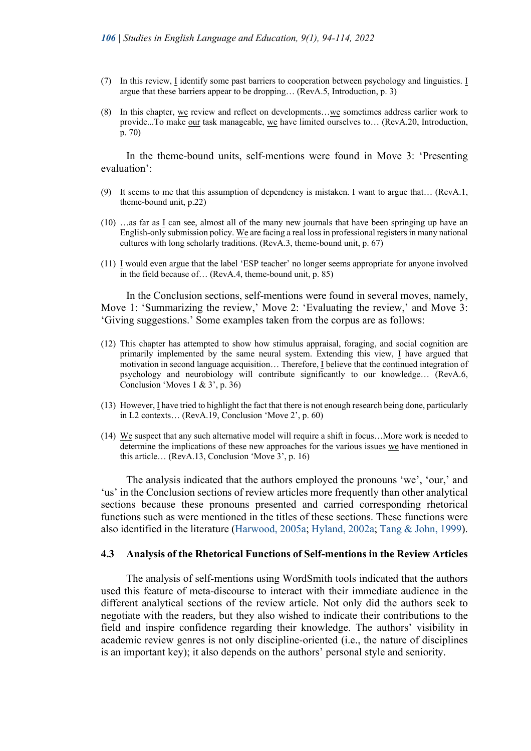- (7) In this review, I identify some past barriers to cooperation between psychology and linguistics. I argue that these barriers appear to be dropping… (RevA.5, Introduction, p. 3)
- (8) In this chapter, we review and reflect on developments...we sometimes address earlier work to provide...To make our task manageable, we have limited ourselves to… (RevA.20, Introduction, p. 70)

In the theme-bound units, self-mentions were found in Move 3: 'Presenting evaluation':

- (9) It seems to me that this assumption of dependency is mistaken. I want to argue that… (RevA.1, theme-bound unit, p.22)
- (10) …as far as I can see, almost all of the many new journals that have been springing up have an English-only submission policy. We are facing a real loss in professional registers in many national cultures with long scholarly traditions. (RevA.3, theme-bound unit, p. 67)
- (11) I would even argue that the label 'ESP teacher' no longer seems appropriate for anyone involved in the field because of… (RevA.4, theme-bound unit, p. 85)

In the Conclusion sections, self-mentions were found in several moves, namely, Move 1: 'Summarizing the review,' Move 2: 'Evaluating the review,' and Move 3: 'Giving suggestions.' Some examples taken from the corpus are as follows:

- (12) This chapter has attempted to show how stimulus appraisal, foraging, and social cognition are primarily implemented by the same neural system. Extending this view, I have argued that motivation in second language acquisition… Therefore, I believe that the continued integration of psychology and neurobiology will contribute significantly to our knowledge… (RevA.6, Conclusion 'Moves 1 & 3', p. 36)
- (13) However, I have tried to highlight the fact that there is not enough research being done, particularly in L2 contexts… (RevA.19, Conclusion 'Move 2', p. 60)
- (14) We suspect that any such alternative model will require a shift in focus…More work is needed to determine the implications of these new approaches for the various issues we have mentioned in this article… (RevA.13, Conclusion 'Move 3', p. 16)

The analysis indicated that the authors employed the pronouns 'we', 'our,' and 'us' in the Conclusion sections of review articles more frequently than other analytical sections because these pronouns presented and carried corresponding rhetorical functions such as were mentioned in the titles of these sections. These functions were also identified in the literature (Harwood, 2005a; Hyland, 2002a; Tang & John, 1999).

#### **4.3 Analysis of the Rhetorical Functions of Self-mentions in the Review Articles**

The analysis of self-mentions using WordSmith tools indicated that the authors used this feature of meta-discourse to interact with their immediate audience in the different analytical sections of the review article. Not only did the authors seek to negotiate with the readers, but they also wished to indicate their contributions to the field and inspire confidence regarding their knowledge. The authors' visibility in academic review genres is not only discipline-oriented (i.e., the nature of disciplines is an important key); it also depends on the authors' personal style and seniority.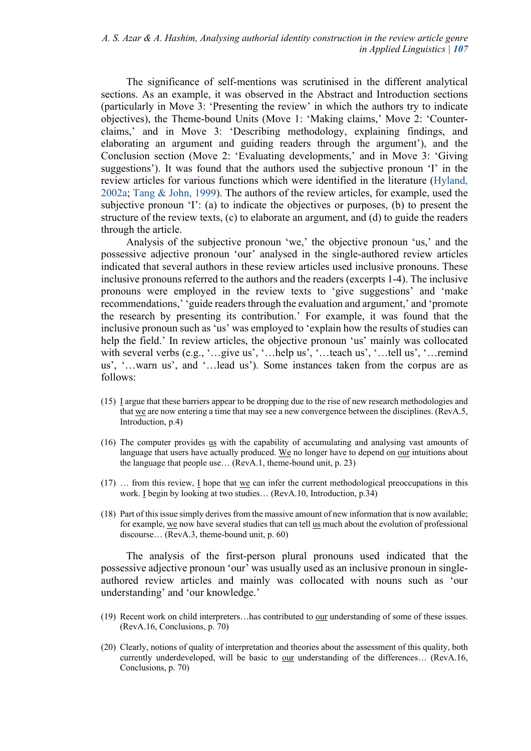The significance of self-mentions was scrutinised in the different analytical sections. As an example, it was observed in the Abstract and Introduction sections (particularly in Move 3: 'Presenting the review' in which the authors try to indicate objectives), the Theme-bound Units (Move 1: 'Making claims,' Move 2: 'Counterclaims,' and in Move 3: 'Describing methodology, explaining findings, and elaborating an argument and guiding readers through the argument'), and the Conclusion section (Move 2: 'Evaluating developments,' and in Move 3: 'Giving suggestions'). It was found that the authors used the subjective pronoun 'I' in the review articles for various functions which were identified in the literature (Hyland, 2002a; Tang & John, 1999). The authors of the review articles, for example, used the subjective pronoun 'I': (a) to indicate the objectives or purposes, (b) to present the structure of the review texts, (c) to elaborate an argument, and (d) to guide the readers through the article.

Analysis of the subjective pronoun 'we,' the objective pronoun 'us,' and the possessive adjective pronoun 'our' analysed in the single-authored review articles indicated that several authors in these review articles used inclusive pronouns. These inclusive pronouns referred to the authors and the readers (excerpts 1-4). The inclusive pronouns were employed in the review texts to 'give suggestions' and 'make recommendations,' 'guide readers through the evaluation and argument,' and 'promote the research by presenting its contribution.' For example, it was found that the inclusive pronoun such as 'us' was employed to 'explain how the results of studies can help the field.' In review articles, the objective pronoun 'us' mainly was collocated with several verbs (e.g., '...give us', '...help us', '...teach us', '...tell us', '...remind us', '…warn us', and '…lead us'). Some instances taken from the corpus are as follows:

- (15) I argue that these barriers appear to be dropping due to the rise of new research methodologies and that we are now entering a time that may see a new convergence between the disciplines. (RevA.5, Introduction, p.4)
- (16) The computer provides us with the capability of accumulating and analysing vast amounts of language that users have actually produced. We no longer have to depend on our intuitions about the language that people use… (RevA.1, theme-bound unit, p. 23)
- $(17)$  ... from this review, I hope that we can infer the current methodological preoccupations in this work. I begin by looking at two studies… (RevA.10, Introduction, p.34)
- (18) Part of this issue simply derives from the massive amount of new information that is now available; for example, we now have several studies that can tell us much about the evolution of professional discourse… (RevA.3, theme-bound unit, p. 60)

The analysis of the first-person plural pronouns used indicated that the possessive adjective pronoun 'our' was usually used as an inclusive pronoun in singleauthored review articles and mainly was collocated with nouns such as 'our understanding' and 'our knowledge.'

- (19) Recent work on child interpreters…has contributed to our understanding of some of these issues. (RevA.16, Conclusions, p. 70)
- (20) Clearly, notions of quality of interpretation and theories about the assessment of this quality, both currently underdeveloped, will be basic to <u>our</u> understanding of the differences... (RevA.16, Conclusions, p. 70)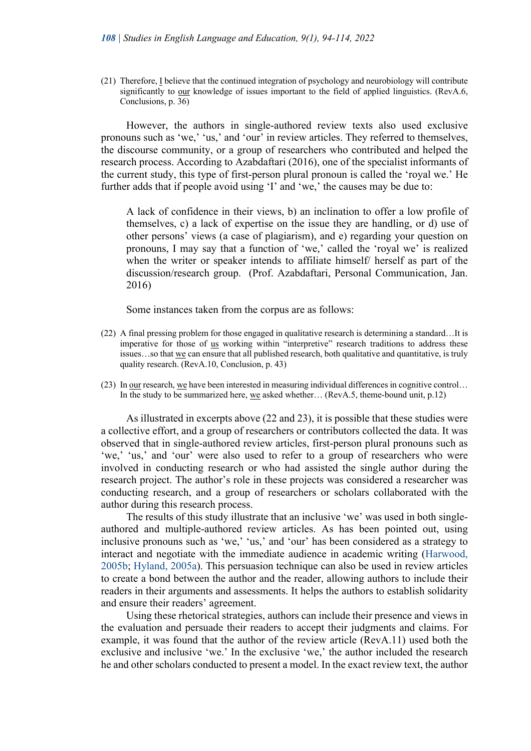(21) Therefore, I believe that the continued integration of psychology and neurobiology will contribute significantly to <u>our</u> knowledge of issues important to the field of applied linguistics. (RevA.6, Conclusions, p. 36)

However, the authors in single-authored review texts also used exclusive pronouns such as 'we,' 'us,' and 'our' in review articles. They referred to themselves, the discourse community, or a group of researchers who contributed and helped the research process. According to Azabdaftari (2016), one of the specialist informants of the current study, this type of first-person plural pronoun is called the 'royal we.' He further adds that if people avoid using 'I' and 'we,' the causes may be due to:

A lack of confidence in their views, b) an inclination to offer a low profile of themselves, c) a lack of expertise on the issue they are handling, or d) use of other persons' views (a case of plagiarism), and e) regarding your question on pronouns, I may say that a function of 'we,' called the 'royal we' is realized when the writer or speaker intends to affiliate himself/ herself as part of the discussion/research group. (Prof. Azabdaftari, Personal Communication, Jan. 2016)

Some instances taken from the corpus are as follows:

- (22) A final pressing problem for those engaged in qualitative research is determining a standard…It is imperative for those of us working within "interpretive" research traditions to address these issues…so that we can ensure that all published research, both qualitative and quantitative, is truly quality research. (RevA.10, Conclusion, p. 43)
- (23) In our research, we have been interested in measuring individual differences in cognitive control… In the study to be summarized here, we asked whether… (RevA.5, theme-bound unit, p.12)

As illustrated in excerpts above (22 and 23), it is possible that these studies were a collective effort, and a group of researchers or contributors collected the data. It was observed that in single-authored review articles, first-person plural pronouns such as 'we,' 'us,' and 'our' were also used to refer to a group of researchers who were involved in conducting research or who had assisted the single author during the research project. The author's role in these projects was considered a researcher was conducting research, and a group of researchers or scholars collaborated with the author during this research process.

The results of this study illustrate that an inclusive 'we' was used in both singleauthored and multiple-authored review articles. As has been pointed out, using inclusive pronouns such as 'we,' 'us,' and 'our' has been considered as a strategy to interact and negotiate with the immediate audience in academic writing (Harwood, 2005b; Hyland, 2005a). This persuasion technique can also be used in review articles to create a bond between the author and the reader, allowing authors to include their readers in their arguments and assessments. It helps the authors to establish solidarity and ensure their readers' agreement.

Using these rhetorical strategies, authors can include their presence and views in the evaluation and persuade their readers to accept their judgments and claims. For example, it was found that the author of the review article (RevA.11) used both the exclusive and inclusive 'we.' In the exclusive 'we,' the author included the research he and other scholars conducted to present a model. In the exact review text, the author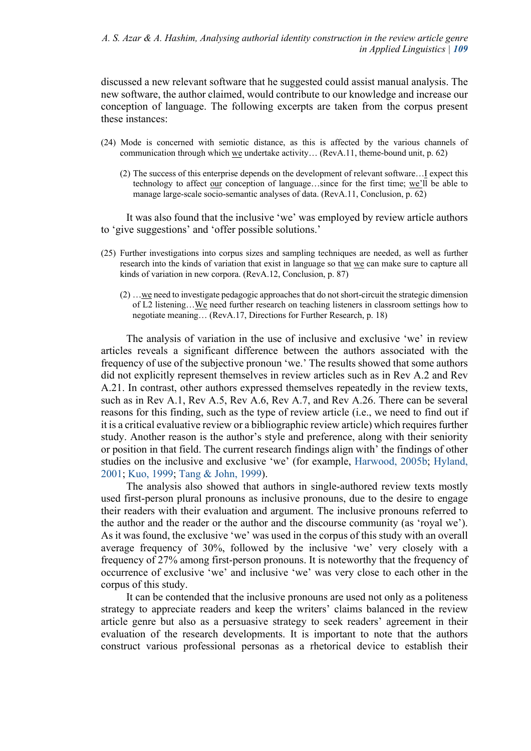discussed a new relevant software that he suggested could assist manual analysis. The new software, the author claimed, would contribute to our knowledge and increase our conception of language. The following excerpts are taken from the corpus present these instances:

- (24) Mode is concerned with semiotic distance, as this is affected by the various channels of communication through which we undertake activity… (RevA.11, theme-bound unit, p. 62)
	- (2) The success of this enterprise depends on the development of relevant software…I expect this technology to affect our conception of language…since for the first time; we'll be able to manage large-scale socio-semantic analyses of data. (RevA.11, Conclusion, p. 62)

It was also found that the inclusive 'we' was employed by review article authors to 'give suggestions' and 'offer possible solutions.'

- (25) Further investigations into corpus sizes and sampling techniques are needed, as well as further research into the kinds of variation that exist in language so that we can make sure to capture all kinds of variation in new corpora. (RevA.12, Conclusion, p. 87)
	- $(2)$  ...we need to investigate pedagogic approaches that do not short-circuit the strategic dimension of L2 listening…We need further research on teaching listeners in classroom settings how to negotiate meaning… (RevA.17, Directions for Further Research, p. 18)

The analysis of variation in the use of inclusive and exclusive 'we' in review articles reveals a significant difference between the authors associated with the frequency of use of the subjective pronoun 'we.' The results showed that some authors did not explicitly represent themselves in review articles such as in Rev A.2 and Rev A.21. In contrast, other authors expressed themselves repeatedly in the review texts, such as in Rev A.1, Rev A.5, Rev A.6, Rev A.7, and Rev A.26. There can be several reasons for this finding, such as the type of review article (i.e., we need to find out if it is a critical evaluative review or a bibliographic review article) which requires further study. Another reason is the author's style and preference, along with their seniority or position in that field. The current research findings align with' the findings of other studies on the inclusive and exclusive 'we' (for example, Harwood, 2005b; Hyland, 2001; Kuo, 1999; Tang & John, 1999).

The analysis also showed that authors in single-authored review texts mostly used first-person plural pronouns as inclusive pronouns, due to the desire to engage their readers with their evaluation and argument. The inclusive pronouns referred to the author and the reader or the author and the discourse community (as 'royal we'). As it was found, the exclusive 'we' was used in the corpus of this study with an overall average frequency of 30%, followed by the inclusive 'we' very closely with a frequency of 27% among first-person pronouns. It is noteworthy that the frequency of occurrence of exclusive 'we' and inclusive 'we' was very close to each other in the corpus of this study.

It can be contended that the inclusive pronouns are used not only as a politeness strategy to appreciate readers and keep the writers' claims balanced in the review article genre but also as a persuasive strategy to seek readers' agreement in their evaluation of the research developments. It is important to note that the authors construct various professional personas as a rhetorical device to establish their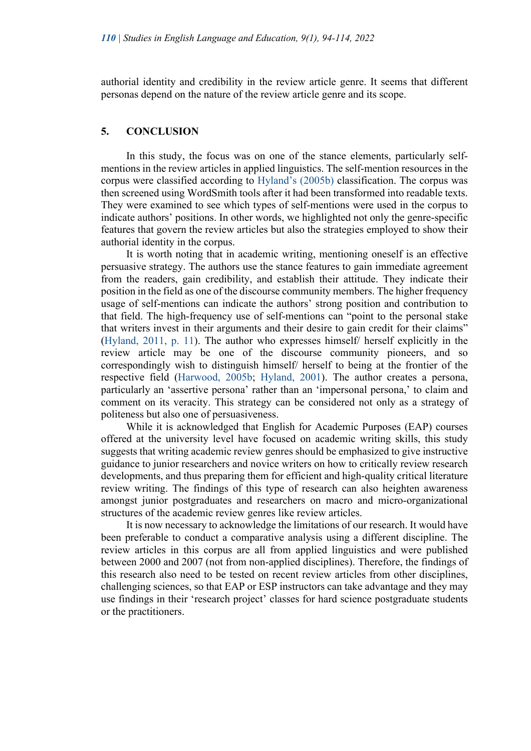authorial identity and credibility in the review article genre. It seems that different personas depend on the nature of the review article genre and its scope.

#### **5. CONCLUSION**

In this study, the focus was on one of the stance elements, particularly selfmentions in the review articles in applied linguistics. The self-mention resources in the corpus were classified according to Hyland's (2005b) classification. The corpus was then screened using WordSmith tools after it had been transformed into readable texts. They were examined to see which types of self-mentions were used in the corpus to indicate authors' positions. In other words, we highlighted not only the genre-specific features that govern the review articles but also the strategies employed to show their authorial identity in the corpus.

It is worth noting that in academic writing, mentioning oneself is an effective persuasive strategy. The authors use the stance features to gain immediate agreement from the readers, gain credibility, and establish their attitude. They indicate their position in the field as one of the discourse community members. The higher frequency usage of self-mentions can indicate the authors' strong position and contribution to that field. The high-frequency use of self-mentions can "point to the personal stake that writers invest in their arguments and their desire to gain credit for their claims" (Hyland, 2011, p. 11). The author who expresses himself/ herself explicitly in the review article may be one of the discourse community pioneers, and so correspondingly wish to distinguish himself/ herself to being at the frontier of the respective field (Harwood, 2005b; Hyland, 2001). The author creates a persona, particularly an 'assertive persona' rather than an 'impersonal persona,' to claim and comment on its veracity. This strategy can be considered not only as a strategy of politeness but also one of persuasiveness.

 While it is acknowledged that English for Academic Purposes (EAP) courses offered at the university level have focused on academic writing skills, this study suggests that writing academic review genres should be emphasized to give instructive guidance to junior researchers and novice writers on how to critically review research developments, and thus preparing them for efficient and high-quality critical literature review writing. The findings of this type of research can also heighten awareness amongst junior postgraduates and researchers on macro and micro-organizational structures of the academic review genres like review articles.

It is now necessary to acknowledge the limitations of our research. It would have been preferable to conduct a comparative analysis using a different discipline. The review articles in this corpus are all from applied linguistics and were published between 2000 and 2007 (not from non-applied disciplines). Therefore, the findings of this research also need to be tested on recent review articles from other disciplines, challenging sciences, so that EAP or ESP instructors can take advantage and they may use findings in their 'research project' classes for hard science postgraduate students or the practitioners.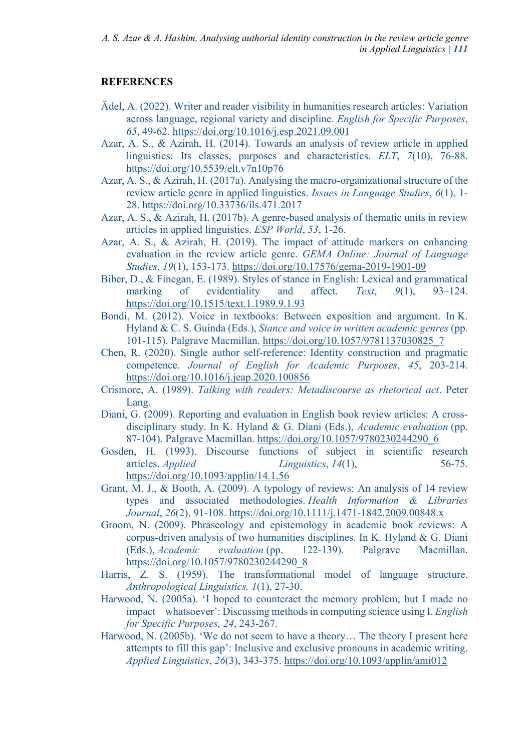# **REFERENCES**

- Ädel, A. (2022). Writer and reader visibility in humanities research articles: Variation across language, regional variety and discipline. *English for Specific Purposes*, *65*, 49-62. https://doi.org/10.1016/j.esp.2021.09.001
- Azar, A. S., & Azirah, H. (2014). Towards an analysis of review article in applied linguistics: Its classes, purposes and characteristics. *ELT*, *7*(10), 76-88. https://doi.org/10.5539/elt.v7n10p76
- Azar, A. S., & Azirah, H. (2017a). Analysing the macro-organizational structure of the review article genre in applied linguistics. *Issues in Language Studies*, *6*(1), 1- 28. https://doi.org/10.33736/ils.471.2017
- Azar, A. S., & Azirah, H. (2017b). A genre-based analysis of thematic units in review articles in applied linguistics. *ESP World*, *53*, 1-26.
- Azar, A. S., & Azirah, H. (2019). The impact of attitude markers on enhancing evaluation in the review article genre. *GEMA Online: Journal of Language Studies*, *19*(1), 153-173. https://doi.org/10.17576/gema-2019-1901-09
- Biber, D., & Finegan, E. (1989). Styles of stance in English: Lexical and grammatical marking of evidentiality and affect. *Text*, *9*(1), 93–124. https://doi.org/10.1515/text.1.1989.9.1.93
- Bondi, M. (2012). Voice in textbooks: Between exposition and argument. In K. Hyland & C. S. Guinda (Eds.), *Stance and voice in written academic genres* (pp. 101-115). Palgrave Macmillan. https://doi.org/10.1057/9781137030825\_7
- Chen, R. (2020). Single author self-reference: Identity construction and pragmatic competence. *Journal of English for Academic Purposes*, *45*, 203-214. https://doi.org/10.1016/j.jeap.2020.100856
- Crismore, A. (1989). *Talking with readers: Metadiscourse as rhetorical act*. Peter Lang.
- Diani, G. (2009). Reporting and evaluation in English book review articles: A crossdisciplinary study. In K. Hyland & G. Diani (Eds.), *Academic evaluation* (pp. 87-104). Palgrave Macmillan. https://doi.org/10.1057/9780230244290\_6
- Gosden, H. (1993). Discourse functions of subject in scientific research articles. *Applied Linguistics*, *14*(1), 56-75. https://doi.org/10.1093/applin/14.1.56
- Grant, M. J., & Booth, A. (2009). A typology of reviews: An analysis of 14 review types and associated methodologies. *Health Information & Libraries Journal*, *26*(2), 91-108. https://doi.org/10.1111/j.1471-1842.2009.00848.x
- Groom, N. (2009). Phraseology and epistemology in academic book reviews: A corpus-driven analysis of two humanities disciplines. In K. Hyland & G. Diani (Eds.), *Academic evaluation* (pp. 122-139). Palgrave Macmillan. https://doi.org/10.1057/9780230244290\_8
- Harris, Z. S. (1959). The transformational model of language structure. *Anthropological Linguistics, 1*(1), 27-30.
- Harwood, N. (2005a). 'I hoped to counteract the memory problem, but I made no impact whatsoever': Discussing methods in computing science using I. *English for Specific Purposes, 24*, 243-267.
- Harwood, N. (2005b). 'We do not seem to have a theory… The theory I present here attempts to fill this gap': Inclusive and exclusive pronouns in academic writing. *Applied Linguistics*, *26*(3), 343-375. https://doi.org/10.1093/applin/ami012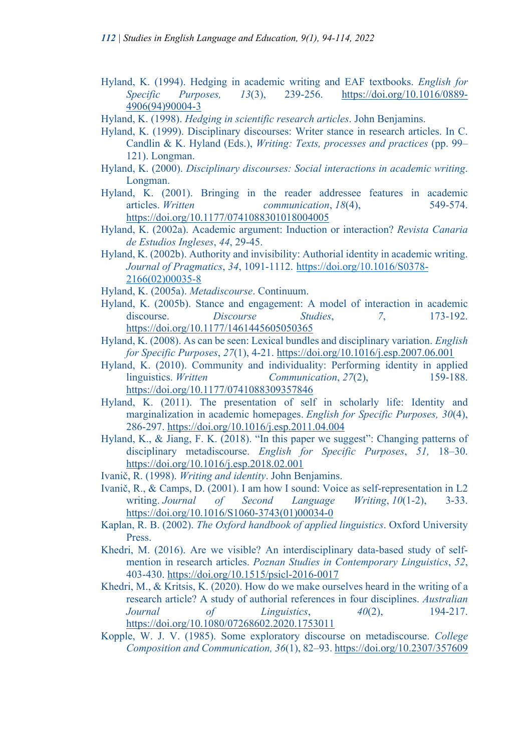- Hyland, K. (1994). Hedging in academic writing and EAF textbooks. *English for Specific Purposes, 13*(3), 239-256. https://doi.org/10.1016/0889- 4906(94)90004-3
- Hyland, K. (1998). *Hedging in scientific research articles*. John Benjamins.
- Hyland, K. (1999). Disciplinary discourses: Writer stance in research articles. In C. Candlin & K. Hyland (Eds.), *Writing: Texts, processes and practices* (pp. 99– 121). Longman.
- Hyland, K. (2000). *Disciplinary discourses: Social interactions in academic writing*. Longman.
- Hyland, K. (2001). Bringing in the reader addressee features in academic articles. *Written communication*, *18*(4), 549-574. https://doi.org/10.1177/0741088301018004005
- Hyland, K. (2002a). Academic argument: Induction or interaction? *Revista Canaria de Estudios Ingleses*, *44*, 29-45.
- Hyland, K. (2002b). Authority and invisibility: Authorial identity in academic writing. *Journal of Pragmatics*, *34*, 1091-1112. https://doi.org/10.1016/S0378- 2166(02)00035-8
- Hyland, K. (2005a). *Metadiscourse*. Continuum.
- Hyland, K. (2005b). Stance and engagement: A model of interaction in academic discourse. *Discourse Studies*, *7*, 173-192. https://doi.org/10.1177/1461445605050365
- Hyland, K. (2008). As can be seen: Lexical bundles and disciplinary variation. *English for Specific Purposes*, *27*(1), 4-21. https://doi.org/10.1016/j.esp.2007.06.001
- Hyland, K. (2010). Community and individuality: Performing identity in applied linguistics. *Written Communication*, *27*(2), 159-188. https://doi.org/10.1177/0741088309357846
- Hyland, K. (2011). The presentation of self in scholarly life: Identity and marginalization in academic homepages. *English for Specific Purposes, 30*(4), 286-297. https://doi.org/10.1016/j.esp.2011.04.004
- Hyland, K., & Jiang, F. K. (2018). "In this paper we suggest": Changing patterns of disciplinary metadiscourse. *English for Specific Purposes*, *51,* 18–30. https://doi.org/10.1016/j.esp.2018.02.001
- Ivanič, R. (1998). *Writing and identity*. John Benjamins.
- Ivanič, R., & Camps, D. (2001). I am how I sound: Voice as self-representation in L2 writing. *Journal of Second Language Writing*, *10*(1-2), 3-33. https://doi.org/10.1016/S1060-3743(01)00034-0
- Kaplan, R. B. (2002). *The Oxford handbook of applied linguistics*. Oxford University Press.
- Khedri, M. (2016). Are we visible? An interdisciplinary data-based study of selfmention in research articles. *Poznan Studies in Contemporary Linguistics*, *52*, 403-430. https://doi.org/10.1515/psicl-2016-0017
- Khedri, M., & Kritsis, K. (2020). How do we make ourselves heard in the writing of a research article? A study of authorial references in four disciplines. *Australian Journal of Linguistics*, *40*(2), 194-217. https://doi.org/10.1080/07268602.2020.1753011
- Kopple, W. J. V. (1985). Some exploratory discourse on metadiscourse. *College Composition and Communication, 36*(1), 82–93. https://doi.org/10.2307/357609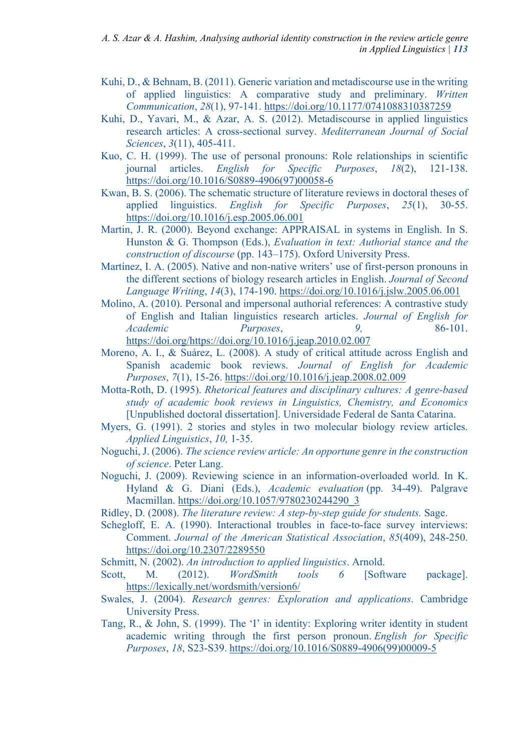- Kuhi, D., & Behnam, B. (2011). Generic variation and metadiscourse use in the writing of applied linguistics: A comparative study and preliminary. *Written Communication*, *28*(1), 97-141. https://doi.org/10.1177/0741088310387259
- Kuhi, D., Yavari, M., & Azar, A. S. (2012). Metadiscourse in applied linguistics research articles: A cross-sectional survey. *Mediterranean Journal of Social Sciences*, *3*(11), 405-411.
- Kuo, C. H. (1999). The use of personal pronouns: Role relationships in scientific journal articles. *English for Specific Purposes*, *18*(2), 121-138. https://doi.org/10.1016/S0889-4906(97)00058-6
- Kwan, B. S. (2006). The schematic structure of literature reviews in doctoral theses of applied linguistics. *English for Specific Purposes*, *25*(1), 30-55. https://doi.org/10.1016/j.esp.2005.06.001
- Martin, J. R. (2000). Beyond exchange: APPRAISAL in systems in English. In S. Hunston & G. Thompson (Eds.), *Evaluation in text: Authorial stance and the construction of discourse* (pp. 143–175). Oxford University Press.
- Martínez, I. A. (2005). Native and non-native writers' use of first-person pronouns in the different sections of biology research articles in English. *Journal of Second Language Writing*, *14*(3), 174-190. https://doi.org/10.1016/j.jslw.2005.06.001
- Molino, A. (2010). Personal and impersonal authorial references: A contrastive study of English and Italian linguistics research articles. *Journal of English for Academic Purposes*, *9,* 86-101. https://doi.org/https://doi.org/10.1016/j.jeap.2010.02.007
- Moreno, A. I., & Suárez, L. (2008). A study of critical attitude across English and Spanish academic book reviews. *Journal of English for Academic Purposes*, *7*(1), 15-26. https://doi.org/10.1016/j.jeap.2008.02.009
- Motta-Roth, D. (1995). *Rhetorical features and disciplinary cultures: A genre-based study of academic book reviews in Linguistics, Chemistry, and Economics* [Unpublished doctoral dissertation]. Universidade Federal de Santa Catarina.
- Myers, G. (1991). 2 stories and styles in two molecular biology review articles. *Applied Linguistics*, *10,* 1-35.
- Noguchi, J. (2006). *The science review article: An opportune genre in the construction of science*. Peter Lang.
- Noguchi, J. (2009). Reviewing science in an information-overloaded world. In K. Hyland & G. Diani (Eds.), *Academic evaluation* (pp. 34-49). Palgrave Macmillan. https://doi.org/10.1057/9780230244290\_3
- Ridley, D. (2008). *The literature review: A step-by-step guide for students.* Sage.
- Schegloff, E. A. (1990). Interactional troubles in face-to-face survey interviews: Comment. *Journal of the American Statistical Association*, *85*(409), 248-250. https://doi.org/10.2307/2289550

Schmitt, N. (2002). *An introduction to applied linguistics*. Arnold.

- Scott, M. (2012). *WordSmith tools 6* [Software package]. https://lexically.net/wordsmith/version6/
- Swales, J. (2004). *Research genres: Exploration and applications*. Cambridge University Press.
- Tang, R., & John, S. (1999). The 'I' in identity: Exploring writer identity in student academic writing through the first person pronoun. *English for Specific Purposes*, *18*, S23-S39. https://doi.org/10.1016/S0889-4906(99)00009-5